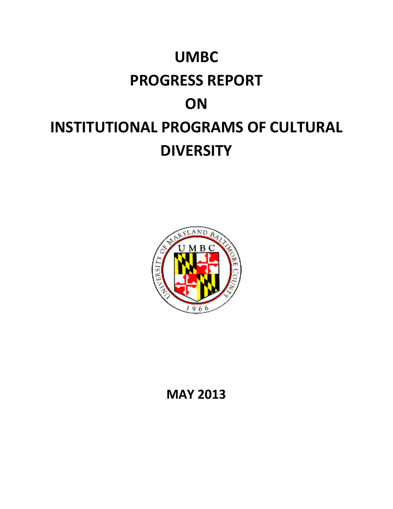# **UMBC PROGRESS REPORT ON INSTITUTIONAL PROGRAMS OF CULTURAL DIVERSITY**



# **MAY 2013**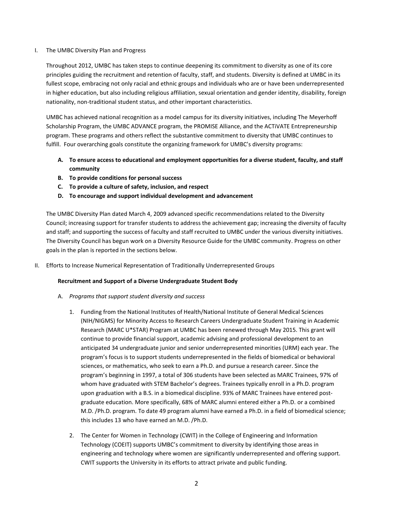# I. The UMBC Diversity Plan and Progress

Throughout 2012, UMBC has taken steps to continue deepening its commitment to diversity as one of its core principles guiding the recruitment and retention of faculty, staff, and students. Diversity is defined at UMBC in its fullest scope, embracing not only racial and ethnic groups and individuals who are or have been underrepresented in higher education, but also including religious affiliation, sexual orientation and gender identity, disability, foreign nationality, non-traditional student status, and other important characteristics.

UMBC has achieved national recognition as a model campus for its diversity initiatives, including The Meyerhoff Scholarship Program, the UMBC ADVANCE program, the PROMISE Alliance, and the ACTiVATE Entrepreneurship program. These programs and others reflect the substantive commitment to diversity that UMBC continues to fulfill. Four overarching goals constitute the organizing framework for UMBC's diversity programs:

- **A. To ensure access to educational and employment opportunities for a diverse student, faculty, and staff community**
- **B. To provide conditions for personal success**
- **C. To provide a culture of safety, inclusion, and respect**
- **D. To encourage and support individual development and advancement**

The UMBC Diversity Plan dated March 4, 2009 advanced specific recommendations related to the Diversity Council; increasing support for transfer students to address the achievement gap; increasing the diversity of faculty and staff; and supporting the success of faculty and staff recruited to UMBC under the various diversity initiatives. The Diversity Council has begun work on a Diversity Resource Guide for the UMBC community. Progress on other goals in the plan is reported in the sections below.

II. Efforts to Increase Numerical Representation of Traditionally Underrepresented Groups

# **Recruitment and Support of a Diverse Undergraduate Student Body**

- A. *Programs that support student diversity and success*
	- 1. Funding from the National Institutes of Health/National Institute of General Medical Sciences (NIH/NIGMS) for Minority Access to Research Careers Undergraduate Student Training in Academic Research (MARC U\*STAR) Program at UMBC has been renewed through May 2015. This grant will continue to provide financial support, academic advising and professional development to an anticipated 34 undergraduate junior and senior underrepresented minorities (URM) each year. The program's focus is to support students underrepresented in the fields of biomedical or behavioral sciences, or mathematics, who seek to earn a Ph.D. and pursue a research career. Since the program's beginning in 1997, a total of 306 students have been selected as MARC Trainees, 97% of whom have graduated with STEM Bachelor's degrees. Trainees typically enroll in a Ph.D. program upon graduation with a B.S. in a biomedical discipline. 93% of MARC Trainees have entered postgraduate education. More specifically, 68% of MARC alumni entered either a Ph.D. or a combined M.D. /Ph.D. program. To date 49 program alumni have earned a Ph.D. in a field of biomedical science; this includes 13 who have earned an M.D. /Ph.D.
	- 2. The Center for Women in Technology (CWIT) in the College of Engineering and Information Technology (COEIT) supports UMBC's commitment to diversity by identifying those areas in engineering and technology where women are significantly underrepresented and offering support. CWIT supports the University in its efforts to attract private and public funding.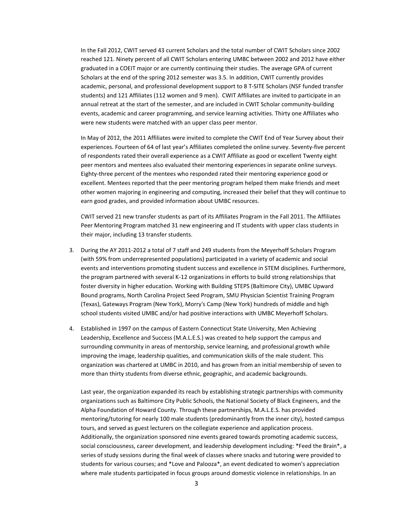In the Fall 2012, CWIT served 43 current Scholars and the total number of CWIT Scholars since 2002 reached 121. Ninety percent of all CWIT Scholars entering UMBC between 2002 and 2012 have either graduated in a COEIT major or are currently continuing their studies. The average GPA of current Scholars at the end of the spring 2012 semester was 3.5. In addition, CWIT currently provides academic, personal, and professional development support to 8 T-SITE Scholars (NSF funded transfer students) and 121 Affiliates (112 women and 9 men). CWIT Affiliates are invited to participate in an annual retreat at the start of the semester, and are included in CWIT Scholar community-building events, academic and career programming, and service learning activities. Thirty one Affiliates who were new students were matched with an upper class peer mentor.

In May of 2012, the 2011 Affiliates were invited to complete the CWIT End of Year Survey about their experiences. Fourteen of 64 of last year's Affiliates completed the online survey. Seventy-five percent of respondents rated their overall experience as a CWIT Affiliate as good or excellent Twenty eight peer mentors and mentees also evaluated their mentoring experiences in separate online surveys. Eighty-three percent of the mentees who responded rated their mentoring experience good or excellent. Mentees reported that the peer mentoring program helped them make friends and meet other women majoring in engineering and computing, increased their belief that they will continue to earn good grades, and provided information about UMBC resources.

CWIT served 21 new transfer students as part of its Affiliates Program in the Fall 2011. The Affiliates Peer Mentoring Program matched 31 new engineering and IT students with upper class students in their major, including 13 transfer students.

- 3. During the AY 2011-2012 a total of 7 staff and 249 students from the Meyerhoff Scholars Program (with 59% from underrepresented populations) participated in a variety of academic and social events and interventions promoting student success and excellence in STEM disciplines. Furthermore, the program partnered with several K-12 organizations in efforts to build strong relationships that foster diversity in higher education. Working with Building STEPS (Baltimore City), UMBC Upward Bound programs, North Carolina Project Seed Program, SMU Physician Scientist Training Program (Texas), Gateways Program (New York), Morry's Camp (New York) hundreds of middle and high school students visited UMBC and/or had positive interactions with UMBC Meyerhoff Scholars.
- 4. Established in 1997 on the campus of Eastern Connecticut State University, Men Achieving Leadership, Excellence and Success (M.A.L.E.S.) was created to help support the campus and surrounding community in areas of mentorship, service learning, and professional growth while improving the image, leadership qualities, and communication skills of the male student. This organization was chartered at UMBC in 2010, and has grown from an initial membership of seven to more than thirty students from diverse ethnic, geographic, and academic backgrounds.

Last year, the organization expanded its reach by establishing strategic partnerships with community organizations such as Baltimore City Public Schools, the National Society of Black Engineers, and the Alpha Foundation of Howard County. Through these partnerships, M.A.L.E.S. has provided mentoring/tutoring for nearly 100 male students (predominantly from the inner city), hosted campus tours, and served as guest lecturers on the collegiate experience and application process. Additionally, the organization sponsored nine events geared towards promoting academic success, social consciousness, career development, and leadership development including: \*Feed the Brain\*, a series of study sessions during the final week of classes where snacks and tutoring were provided to students for various courses; and \*Love and Palooza\*, an event dedicated to women's appreciation where male students participated in focus groups around domestic violence in relationships. In an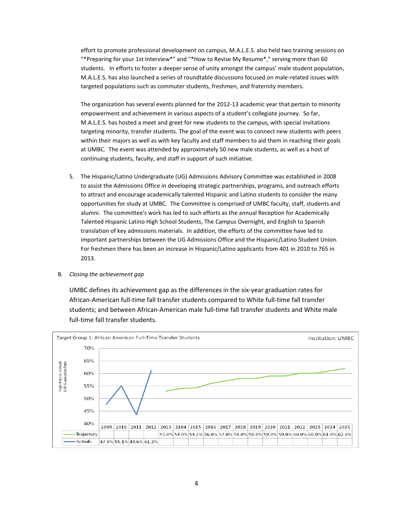effort to promote professional development on campus, M.A.L.E.S. also held two training sessions on "\*Preparing for your 1st Interview\*" and "\*How to Revise My Resume\*," serving more than 60 students. In efforts to foster a deeper sense of unity amongst the campus' male student population, M.A.L.E.S. has also launched a series of roundtable discussions focused on male-related issues with targeted populations such as commuter students, freshmen, and fraternity members.

The organization has several events planned for the 2012-13 academic year that pertain to minority empowerment and achievement in various aspects of a student's collegiate journey. So far, M.A.L.E.S. has hosted a meet and greet for new students to the campus, with special invitations targeting minority, transfer students. The goal of the event was to connect new students with peers within their majors as well as with key faculty and staff members to aid them in reaching their goals at UMBC. The event was attended by approximately 50 new male students, as well as a host of continuing students, faculty, and staff in support of such initiative.

5. The Hispanic/Latino Undergraduate (UG) Admissions Advisory Committee was established in 2008 to assist the Admissions Office in developing strategic partnerships, programs, and outreach efforts to attract and encourage academically talented Hispanic and Latino students to consider the many opportunities for study at UMBC. The Committee is comprised of UMBC faculty, staff, students and alumni. The committee's work has led to such efforts as the annual Reception for Academically Talented Hispanic Latino High School Students, The Campus Overnight, and English to Spanish translation of key admissions materials. In addition, the efforts of the committee have led to important partnerships between the UG Admissions Office and the Hispanic/Latino Student Union. For freshmen there has been an increase in Hispanic/Latino applicants from 401 in 2010 to 765 in 2013.

B. *Closing the achievement gap*

UMBC defines its achievement gap as the differences in the six-year graduation rates for African-American full-time fall transfer students compared to White full-time fall transfer students; and between African-American male full-time fall transfer students and White male full-time fall transfer students.

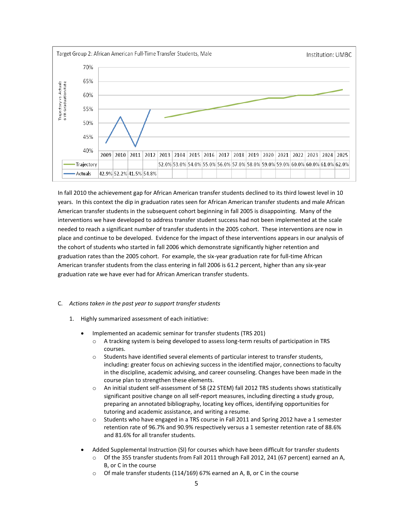

In fall 2010 the achievement gap for African American transfer students declined to its third lowest level in 10 years. In this context the dip in graduation rates seen for African American transfer students and male African American transfer students in the subsequent cohort beginning in fall 2005 is disappointing. Many of the interventions we have developed to address transfer student success had not been implemented at the scale needed to reach a significant number of transfer students in the 2005 cohort. These interventions are now in place and continue to be developed. Evidence for the impact of these interventions appears in our analysis of the cohort of students who started in fall 2006 which demonstrate significantly higher retention and graduation rates than the 2005 cohort. For example, the six-year graduation rate for full-time African American transfer students from the class entering in fall 2006 is 61.2 percent, higher than any six-year graduation rate we have ever had for African American transfer students.

# C. *Actions taken in the past year to support transfer students*

- 1. Highly summarized assessment of each initiative:
	- Implemented an academic seminar for transfer students (TRS 201)
		- o A tracking system is being developed to assess long-term results of participation in TRS courses.
		- o Students have identified several elements of particular interest to transfer students, including: greater focus on achieving success in the identified major, connections to faculty in the discipline, academic advising, and career counseling. Changes have been made in the course plan to strengthen these elements.
		- o An initial student self-assessment of 58 (22 STEM) fall 2012 TRS students shows statistically significant positive change on all self-report measures, including directing a study group, preparing an annotated bibliography, locating key offices, identifying opportunities for tutoring and academic assistance, and writing a resume.
		- o Students who have engaged in a TRS course in Fall 2011 and Spring 2012 have a 1 semester retention rate of 96.7% and 90.9% respectively versus a 1 semester retention rate of 88.6% and 81.6% for all transfer students.
	- Added Supplemental Instruction (SI) for courses which have been difficult for transfer students
		- o Of the 355 transfer students from Fall 2011 through Fall 2012, 241 (67 percent) earned an A, B, or C in the course
		- o Of male transfer students (114/169) 67% earned an A, B, or C in the course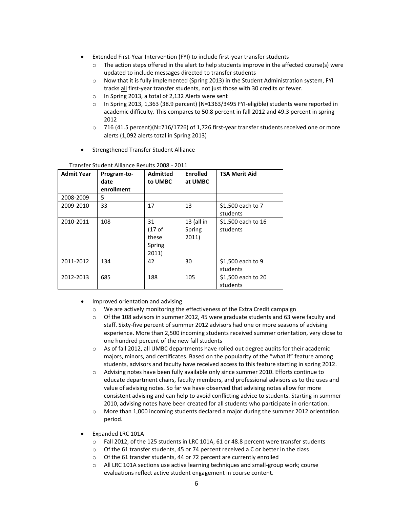- Extended First-Year Intervention (FYI) to include first-year transfer students
	- $\circ$  The action steps offered in the alert to help students improve in the affected course(s) were updated to include messages directed to transfer students
	- o Now that it is fully implemented (Spring 2013) in the Student Administration system, FYI tracks all first-year transfer students, not just those with 30 credits or fewer.
	- o In Spring 2013, a total of 2,132 Alerts were sent
	- o In Spring 2013, 1,363 (38.9 percent) (N=1363/3495 FYI-eligible) students were reported in academic difficulty. This compares to 50.8 percent in fall 2012 and 49.3 percent in spring 2012
	- $\circ$  716 (41.5 percent)(N=716/1726) of 1,726 first-year transfer students received one or more alerts (1,092 alerts total in Spring 2013)
- **•** Strengthened Transfer Student Alliance

| <b>Admit Year</b> | Program-to-<br>date<br>enrollment | <b>Admitted</b><br>to UMBC                            | <b>Enrolled</b><br>at UMBC      | <b>TSA Merit Aid</b>           |
|-------------------|-----------------------------------|-------------------------------------------------------|---------------------------------|--------------------------------|
| 2008-2009         | 5                                 |                                                       |                                 |                                |
| 2009-2010         | 33                                | 17                                                    | 13                              | \$1,500 each to 7<br>students  |
| 2010-2011         | 108                               | 31<br>(17 <sub>of</sub> )<br>these<br>Spring<br>2011) | $13$ (all in<br>Spring<br>2011) | \$1,500 each to 16<br>students |
| 2011-2012         | 134                               | 42                                                    | 30                              | \$1,500 each to 9<br>students  |
| 2012-2013         | 685                               | 188                                                   | 105                             | \$1,500 each to 20<br>students |

#### Transfer Student Alliance Results 2008 - 2011

- Improved orientation and advising
	- o We are actively monitoring the effectiveness of the Extra Credit campaign
	- $\circ$  Of the 108 advisors in summer 2012, 45 were graduate students and 63 were faculty and staff. Sixty-five percent of summer 2012 advisors had one or more seasons of advising experience. More than 2,500 incoming students received summer orientation, very close to one hundred percent of the new fall students
	- $\circ$  As of fall 2012, all UMBC departments have rolled out degree audits for their academic majors, minors, and certificates. Based on the popularity of the "what if" feature among students, advisors and faculty have received access to this feature starting in spring 2012.
	- o Advising notes have been fully available only since summer 2010. Efforts continue to educate department chairs, faculty members, and professional advisors as to the uses and value of advising notes. So far we have observed that advising notes allow for more consistent advising and can help to avoid conflicting advice to students. Starting in summer 2010, advising notes have been created for all students who participate in orientation.
	- $\circ$  More than 1,000 incoming students declared a major during the summer 2012 orientation period.
- Expanded LRC 101A
	- o Fall 2012, of the 125 students in LRC 101A, 61 or 48.8 percent were transfer students
	- o Of the 61 transfer students, 45 or 74 percent received a C or better in the class
	- o Of the 61 transfer students, 44 or 72 percent are currently enrolled
	- $\circ$  All LRC 101A sections use active learning techniques and small-group work; course evaluations reflect active student engagement in course content.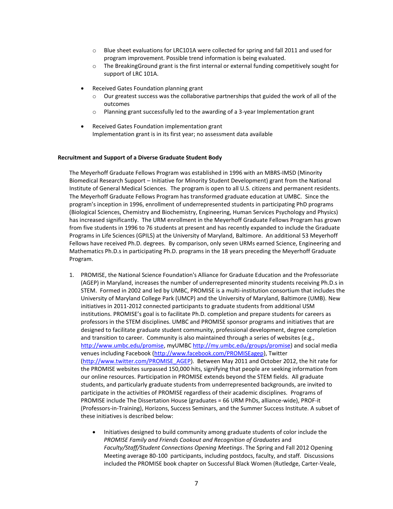- o Blue sheet evaluations for LRC101A were collected for spring and fall 2011 and used for program improvement. Possible trend information is being evaluated.
- $\circ$  The Breaking Ground grant is the first internal or external funding competitively sought for support of LRC 101A.
- Received Gates Foundation planning grant
	- $\circ$  Our greatest success was the collaborative partnerships that guided the work of all of the outcomes
	- $\circ$  Planning grant successfully led to the awarding of a 3-year Implementation grant
- Received Gates Foundation implementation grant Implementation grant is in its first year; no assessment data available

#### **Recruitment and Support of a Diverse Graduate Student Body**

The Meyerhoff Graduate Fellows Program was established in 1996 with an MBRS-IMSD (Minority Biomedical Research Support – Initiative for Minority Student Development) grant from the National Institute of General Medical Sciences. The program is open to all U.S. citizens and permanent residents. The Meyerhoff Graduate Fellows Program has transformed graduate education at UMBC. Since the program's inception in 1996, enrollment of underrepresented students in participating PhD programs (Biological Sciences, Chemistry and Biochemistry, Engineering, Human Services Psychology and Physics) has increased significantly. The URM enrollment in the Meyerhoff Graduate Fellows Program has grown from five students in 1996 to 76 students at present and has recently expanded to include the Graduate Programs in Life Sciences (GPILS) at the University of Maryland, Baltimore. An additional 53 Meyerhoff Fellows have received Ph.D. degrees. By comparison, only seven URMs earned Science, Engineering and Mathematics Ph.D.s in participating Ph.D. programs in the 18 years preceding the Meyerhoff Graduate Program.

- 1. PROMISE, the National Science Foundation's Alliance for Graduate Education and the Professoriate (AGEP) in Maryland, increases the number of underrepresented minority students receiving Ph.D.s in STEM. Formed in 2002 and led by UMBC, PROMISE is a multi-institution consortium that includes the University of Maryland College Park (UMCP) and the University of Maryland, Baltimore (UMB). New initiatives in 2011-2012 connected participants to graduate students from additional USM institutions. PROMISE's goal is to facilitate Ph.D. completion and prepare students for careers as professors in the STEM disciplines. UMBC and PROMISE sponsor programs and initiatives that are designed to facilitate graduate student community, professional development, degree completion and transition to career. Community is also maintained through a series of websites (e.g., [http://www.umbc.edu/promise,](http://www.umbc.edu/promise) myUMB[C http://my.umbc.edu/groups/promise\)](http://my.umbc.edu/groups/promise) and social media venues including Facebook [\(http://www.facebook.com/PROMISEagep\)](http://www.facebook.com/PROMISEagep), Twitter [\(http://www.twitter.com/PROMISE\\_AGEP\)](http://www.twitter.com/PROMISE_AGEP). Between May 2011 and October 2012, the hit rate for the PROMISE websites surpassed 150,000 hits, signifying that people are seeking information from our online resources. Participation in PROMISE extends beyond the STEM fields. All graduate students, and particularly graduate students from underrepresented backgrounds, are invited to participate in the activities of PROMISE regardless of their academic disciplines. Programs of PROMISE include The Dissertation House (graduates = 66 URM PhDs, alliance-wide), PROF-it (Professors-in-Training), Horizons, Success Seminars, and the Summer Success Institute. A subset of these initiatives is described below:
	- Initiatives designed to build community among graduate students of color include the *PROMISE Family and Friends Cookout and Recognition of Graduates* and *Faculty/Staff/Student Connections Opening Meetings*. The Spring and Fall 2012 Opening Meeting average 80-100 participants, including postdocs, faculty, and staff. Discussions included the PROMISE book chapter on Successful Black Women (Rutledge, Carter-Veale,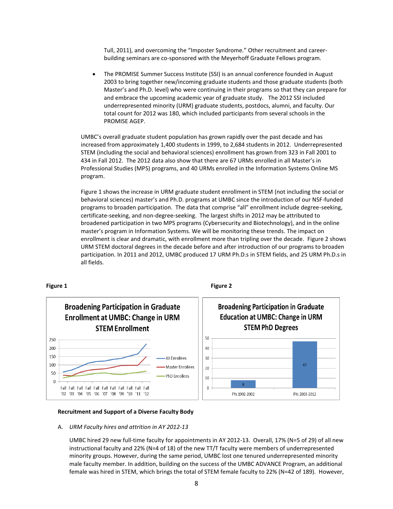Tull, 2011), and overcoming the "Imposter Syndrome." Other recruitment and careerbuilding seminars are co-sponsored with the Meyerhoff Graduate Fellows program*.*

 The PROMISE Summer Success Institute (SSI) is an annual conference founded in August 2003 to bring together new/incoming graduate students and those graduate students (both Master's and Ph.D. level) who were continuing in their programs so that they can prepare for and embrace the upcoming academic year of graduate study. The 2012 SSI included underrepresented minority (URM) graduate students, postdocs, alumni, and faculty. Our total count for 2012 was 180, which included participants from several schools in the PROMISE AGEP.

UMBC's overall graduate student population has grown rapidly over the past decade and has increased from approximately 1,400 students in 1999, to 2,684 students in 2012. Underrepresented STEM (including the social and behavioral sciences) enrollment has grown from 323 in Fall 2001 to 434 in Fall 2012. The 2012 data also show that there are 67 URMs enrolled in all Master's in Professional Studies (MPS) programs, and 40 URMs enrolled in the Information Systems Online MS program.

Figure 1 shows the increase in URM graduate student enrollment in STEM (not including the social or behavioral sciences) master's and Ph.D. programs at UMBC since the introduction of our NSF-funded programs to broaden participation. The data that comprise "all" enrollment include degree-seeking, certificate-seeking, and non-degree-seeking. The largest shifts in 2012 may be attributed to broadened participation in two MPS programs (Cybersecurity and Biotechnology), and in the online master's program in Information Systems. We will be monitoring these trends. The impact on enrollment is clear and dramatic, with enrollment more than tripling over the decade. Figure 2 shows URM STEM doctoral degrees in the decade before and after introduction of our programs to broaden participation. In 2011 and 2012, UMBC produced 17 URM Ph.D.s in STEM fields, and 25 URM Ph.D.s in all fields.

#### **Figure 1 Figure 2**



#### **Recruitment and Support of a Diverse Faculty Body**

A. *URM Faculty hires and attrition in AY 2012-13*

UMBC hired 29 new full-time faculty for appointments in AY 2012-13. Overall, 17% (N=5 of 29) of all new instructional faculty and 22% (N=4 of 18) of the new TT/T faculty were members of underrepresented minority groups. However, during the same period, UMBC lost one tenured underrepresented minority male faculty member. In addition, building on the success of the UMBC ADVANCE Program, an additional female was hired in STEM, which brings the total of STEM female faculty to 22% (N=42 of 189). However,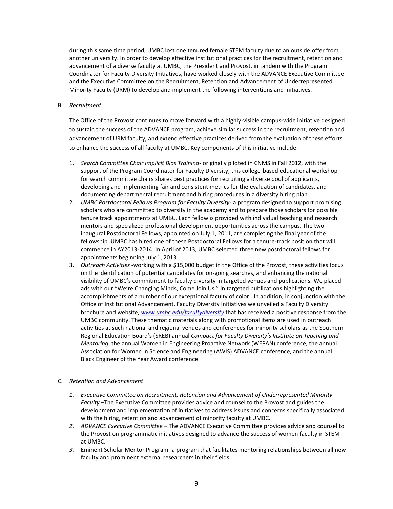during this same time period, UMBC lost one tenured female STEM faculty due to an outside offer from another university. In order to develop effective institutional practices for the recruitment, retention and advancement of a diverse faculty at UMBC, the President and Provost, in tandem with the Program Coordinator for Faculty Diversity Initiatives, have worked closely with the ADVANCE Executive Committee and the Executive Committee on the Recruitment, Retention and Advancement of Underrepresented Minority Faculty (URM) to develop and implement the following interventions and initiatives.

#### B. *Recruitment*

The Office of the Provost continues to move forward with a highly-visible campus-wide initiative designed to sustain the success of the ADVANCE program, achieve similar success in the recruitment, retention and advancement of URM faculty, and extend effective practices derived from the evaluation of these efforts to enhance the success of all faculty at UMBC. Key components of this initiative include:

- 1. *Search Committee Chair Implicit Bias Training-* originally piloted in CNMS in Fall 2012, with the support of the Program Coordinator for Faculty Diversity, this college-based educational workshop for search committee chairs shares best practices for recruiting a diverse pool of applicants, developing and implementing fair and consistent metrics for the evaluation of candidates, and documenting departmental recruitment and hiring procedures in a diversity hiring plan.
- 2. *UMBC Postdoctoral Fellows Program for Faculty Diversity* a program designed to support promising scholars who are committed to diversity in the academy and to prepare those scholars for possible tenure track appointments at UMBC. Each fellow is provided with individual teaching and research mentors and specialized professional development opportunities across the campus. The two inaugural Postdoctoral Fellows, appointed on July 1, 2011, are completing the final year of the fellowship. UMBC has hired one of these Postdoctoral Fellows for a tenure-track position that will commence in AY2013-2014. In April of 2013, UMBC selected three new postdoctoral fellows for appointments beginning July 1, 2013.
- 3. *Outreach Activities -*working with a \$15,000 budget in the Office of the Provost, these activities focus on the identification of potential candidates for on-going searches, and enhancing the national visibility of UMBC's commitment to faculty diversity in targeted venues and publications. We placed ads with our "We're Changing Minds, Come Join Us," in targeted publications highlighting the accomplishments of a number of our exceptional faculty of color. In addition, in conjunction with the Office of Institutional Advancement, Faculty Diversity Initiatives we unveiled a Faculty Diversity brochure and website, *[www.umbc.edu/facultydiversity](http://www.umbc.edu/facultydiversity)* that has received a positive response from the UMBC community. These thematic materials along with promotional items are used in outreach activities at such national and regional venues and conferences for minority scholars as the Southern Regional Education Board's (SREB) annual *Compact for Faculty Diversity's Institute on Teaching and Mentoring*, the annual Women in Engineering Proactive Network (WEPAN) conference, the annual Association for Women in Science and Engineering (AWIS) ADVANCE conference, and the annual Black Engineer of the Year Award conference.

# C. *Retention and Advancement*

- *1. Executive Committee on Recruitment, Retention and Advancement of Underrepresented Minority Faculty* –The Executive Committee provides advice and counsel to the Provost and guides the development and implementation of initiatives to address issues and concerns specifically associated with the hiring, retention and advancement of minority faculty at UMBC.
- *2. ADVANCE Executive Committee* The ADVANCE Executive Committee provides advice and counsel to the Provost on programmatic initiatives designed to advance the success of women faculty in STEM at UMBC.
- *3.* Eminent Scholar Mentor Program- a program that facilitates mentoring relationships between all new faculty and prominent external researchers in their fields.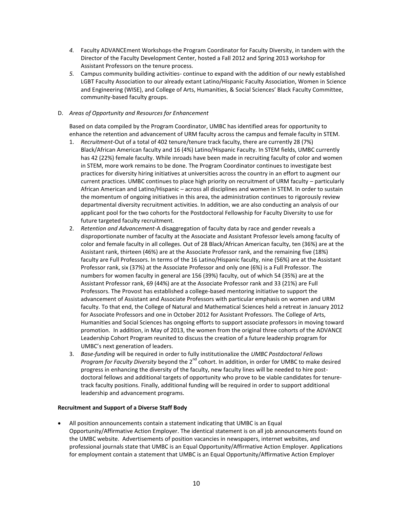- *4.* Faculty ADVANCEment Workshops-the Program Coordinator for Faculty Diversity, in tandem with the Director of the Faculty Development Center, hosted a Fall 2012 and Spring 2013 workshop for Assistant Professors on the tenure process.
- *5.* Campus community building activities- continue to expand with the addition of our newly established LGBT Faculty Association to our already extant Latino/Hispanic Faculty Association, Women in Science and Engineering (WISE), and College of Arts, Humanities, & Social Sciences' Black Faculty Committee, community-based faculty groups.

# D. *Areas of Opportunity and Resources for Enhancement*

Based on data compiled by the Program Coordinator, UMBC has identified areas for opportunity to enhance the retention and advancement of URM faculty across the campus and female faculty in STEM.

- 1. *Recruitment-*Out of a total of 402 tenure/tenure track faculty, there are currently 28 (7%) Black/African American faculty and 16 (4%) Latino/Hispanic Faculty. In STEM fields, UMBC currently has 42 (22%) female faculty. While inroads have been made in recruiting faculty of color and women in STEM, more work remains to be done. The Program Coordinator continues to investigate best practices for diversity hiring initiatives at universities across the country in an effort to augment our current practices. UMBC continues to place high priority on recruitment of URM faculty – particularly African American and Latino/Hispanic – across all disciplines and women in STEM. In order to sustain the momentum of ongoing initiatives in this area, the administration continues to rigorously review departmental diversity recruitment activities. In addition, we are also conducting an analysis of our applicant pool for the two cohorts for the Postdoctoral Fellowship for Faculty Diversity to use for future targeted faculty recruitment.
- 2. *Retention and Advancement-*A disaggregation of faculty data by race and gender reveals a disproportionate number of faculty at the Associate and Assistant Professor levels among faculty of color and female faculty in all colleges. Out of 28 Black/African American faculty, ten (36%) are at the Assistant rank, thirteen (46%) are at the Associate Professor rank, and the remaining five (18%) faculty are Full Professors. In terms of the 16 Latino/Hispanic faculty, nine (56%) are at the Assistant Professor rank, six (37%) at the Associate Professor and only one (6%) is a Full Professor. The numbers for women faculty in general are 156 (39%) faculty, out of which 54 (35%) are at the Assistant Professor rank, 69 (44%) are at the Associate Professor rank and 33 (21%) are Full Professors. The Provost has established a college-based mentoring initiative to support the advancement of Assistant and Associate Professors with particular emphasis on women and URM faculty. To that end, the College of Natural and Mathematical Sciences held a retreat in January 2012 for Associate Professors and one in October 2012 for Assistant Professors. The College of Arts, Humanities and Social Sciences has ongoing efforts to support associate professors in moving toward promotion. In addition, in May of 2013, the women from the original three cohorts of the ADVANCE Leadership Cohort Program reunited to discuss the creation of a future leadership program for UMBC's next generation of leaders.
- 3. *Base-funding* will be required in order to fully institutionalize the *UMBC Postdoctoral Fellows Program for Faculty Diversity* beyond the 2<sup>nd</sup> cohort. In addition, in order for UMBC to make desired progress in enhancing the diversity of the faculty, new faculty lines will be needed to hire postdoctoral fellows and additional targets of opportunity who prove to be viable candidates for tenuretrack faculty positions. Finally, additional funding will be required in order to support additional leadership and advancement programs.

# **Recruitment and Support of a Diverse Staff Body**

 All position announcements contain a statement indicating that UMBC is an Equal Opportunity/Affirmative Action Employer. The identical statement is on all job announcements found on the UMBC website. Advertisements of position vacancies in newspapers, internet websites, and professional journals state that UMBC is an Equal Opportunity/Affirmative Action Employer. Applications for employment contain a statement that UMBC is an Equal Opportunity/Affirmative Action Employer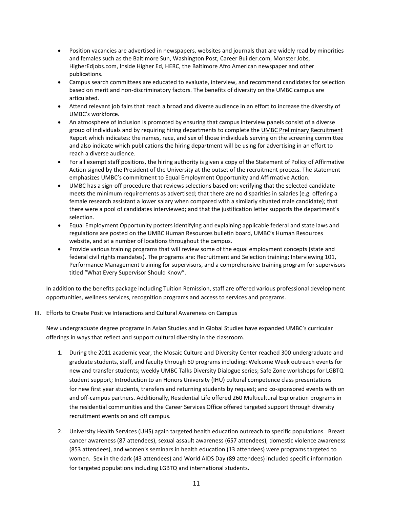- Position vacancies are advertised in newspapers, websites and journals that are widely read by minorities and females such as the Baltimore Sun, Washington Post, Career Builder.com, Monster Jobs, HigherEdjobs.com, Inside Higher Ed, HERC, the Baltimore Afro American newspaper and other publications.
- Campus search committees are educated to evaluate, interview, and recommend candidates for selection based on merit and non-discriminatory factors. The benefits of diversity on the UMBC campus are articulated.
- Attend relevant job fairs that reach a broad and diverse audience in an effort to increase the diversity of UMBC's workforce.
- An atmosphere of inclusion is promoted by ensuring that campus interview panels consist of a diverse group of individuals and by requiring hiring departments to complete the UMBC Preliminary Recruitment Report which indicates: the names, race, and sex of those individuals serving on the screening committee and also indicate which publications the hiring department will be using for advertising in an effort to reach a diverse audience.
- For all exempt staff positions, the hiring authority is given a copy of the Statement of Policy of Affirmative Action signed by the President of the University at the outset of the recruitment process. The statement emphasizes UMBC's commitment to Equal Employment Opportunity and Affirmative Action.
- UMBC has a sign-off procedure that reviews selections based on: verifying that the selected candidate meets the minimum requirements as advertised; that there are no disparities in salaries (e.g. offering a female research assistant a lower salary when compared with a similarly situated male candidate); that there were a pool of candidates interviewed; and that the justification letter supports the department's selection.
- Equal Employment Opportunity posters identifying and explaining applicable federal and state laws and regulations are posted on the UMBC Human Resources bulletin board, UMBC's Human Resources website, and at a number of locations throughout the campus.
- Provide various training programs that will review some of the equal employment concepts (state and federal civil rights mandates). The programs are: Recruitment and Selection training; Interviewing 101, Performance Management training for supervisors, and a comprehensive training program for supervisors titled "What Every Supervisor Should Know".

In addition to the benefits package including Tuition Remission, staff are offered various professional development opportunities, wellness services, recognition programs and access to services and programs.

III. Efforts to Create Positive Interactions and Cultural Awareness on Campus

New undergraduate degree programs in Asian Studies and in Global Studies have expanded UMBC's curricular offerings in ways that reflect and support cultural diversity in the classroom.

- 1. During the 2011 academic year, the Mosaic Culture and Diversity Center reached 300 undergraduate and graduate students, staff, and faculty through 60 programs including: Welcome Week outreach events for new and transfer students; weekly UMBC Talks Diversity Dialogue series; Safe Zone workshops for LGBTQ student support; Introduction to an Honors University (IHU) cultural competence class presentations for new first year students, transfers and returning students by request; and co-sponsored events with on and off-campus partners. Additionally, Residential Life offered 260 Multicultural Exploration programs in the residential communities and the Career Services Office offered targeted support through diversity recruitment events on and off campus.
- 2. University Health Services (UHS) again targeted health education outreach to specific populations. Breast cancer awareness (87 attendees), sexual assault awareness (657 attendees), domestic violence awareness (853 attendees), and women's seminars in health education (13 attendees) were programs targeted to women. Sex in the dark (43 attendees) and World AIDS Day (89 attendees) included specific information for targeted populations including LGBTQ and international students.